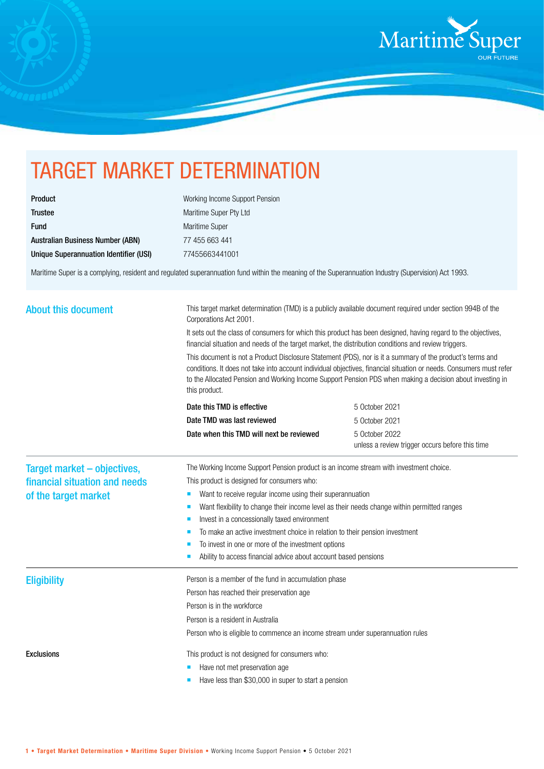

## TARGET MARKET DETERMINATION

| <b>Product</b>                          |
|-----------------------------------------|
| <b>Trustee</b>                          |
| <b>Fund</b>                             |
| <b>Australian Business Number (ABN)</b> |
| Unique Superannuation Identifier (USI)  |

Working Income Support Pension Maritime Super Pty Ltd Maritime Super 77 455 663 441 Unique Superannuation Identifier (USI) 77455663441001

Maritime Super is a complying, resident and regulated superannuation fund within the meaning of the Superannuation Industry (Supervision) Act 1993.

| <b>About this document</b>    | This target market determination (TMD) is a publicly available document required under section 994B of the<br>Corporations Act 2001.<br>It sets out the class of consumers for which this product has been designed, having regard to the objectives,<br>financial situation and needs of the target market, the distribution conditions and review triggers.<br>This document is not a Product Disclosure Statement (PDS), nor is it a summary of the product's terms and<br>conditions. It does not take into account individual objectives, financial situation or needs. Consumers must refer<br>to the Allocated Pension and Working Income Support Pension PDS when making a decision about investing in<br>this product. |                                                                                        |  |
|-------------------------------|---------------------------------------------------------------------------------------------------------------------------------------------------------------------------------------------------------------------------------------------------------------------------------------------------------------------------------------------------------------------------------------------------------------------------------------------------------------------------------------------------------------------------------------------------------------------------------------------------------------------------------------------------------------------------------------------------------------------------------|----------------------------------------------------------------------------------------|--|
|                               |                                                                                                                                                                                                                                                                                                                                                                                                                                                                                                                                                                                                                                                                                                                                 |                                                                                        |  |
|                               |                                                                                                                                                                                                                                                                                                                                                                                                                                                                                                                                                                                                                                                                                                                                 |                                                                                        |  |
|                               | Date TMD was last reviewed                                                                                                                                                                                                                                                                                                                                                                                                                                                                                                                                                                                                                                                                                                      | 5 October 2021                                                                         |  |
|                               | Date when this TMD will next be reviewed                                                                                                                                                                                                                                                                                                                                                                                                                                                                                                                                                                                                                                                                                        | 5 October 2022<br>unless a review trigger occurs before this time                      |  |
|                               | Target market - objectives,                                                                                                                                                                                                                                                                                                                                                                                                                                                                                                                                                                                                                                                                                                     | The Working Income Support Pension product is an income stream with investment choice. |  |
| financial situation and needs | This product is designed for consumers who:                                                                                                                                                                                                                                                                                                                                                                                                                                                                                                                                                                                                                                                                                     |                                                                                        |  |
| of the target market          | Want to receive regular income using their superannuation<br>ш                                                                                                                                                                                                                                                                                                                                                                                                                                                                                                                                                                                                                                                                  |                                                                                        |  |
|                               | Want flexibility to change their income level as their needs change within permitted ranges                                                                                                                                                                                                                                                                                                                                                                                                                                                                                                                                                                                                                                     |                                                                                        |  |
|                               | Invest in a concessionally taxed environment                                                                                                                                                                                                                                                                                                                                                                                                                                                                                                                                                                                                                                                                                    |                                                                                        |  |
|                               | To make an active investment choice in relation to their pension investment<br>п                                                                                                                                                                                                                                                                                                                                                                                                                                                                                                                                                                                                                                                |                                                                                        |  |
|                               | To invest in one or more of the investment options                                                                                                                                                                                                                                                                                                                                                                                                                                                                                                                                                                                                                                                                              |                                                                                        |  |
|                               | Ability to access financial advice about account based pensions                                                                                                                                                                                                                                                                                                                                                                                                                                                                                                                                                                                                                                                                 |                                                                                        |  |
| <b>Eligibility</b>            | Person is a member of the fund in accumulation phase                                                                                                                                                                                                                                                                                                                                                                                                                                                                                                                                                                                                                                                                            |                                                                                        |  |
|                               | Person has reached their preservation age                                                                                                                                                                                                                                                                                                                                                                                                                                                                                                                                                                                                                                                                                       |                                                                                        |  |
|                               | Person is in the workforce                                                                                                                                                                                                                                                                                                                                                                                                                                                                                                                                                                                                                                                                                                      |                                                                                        |  |
|                               | Person is a resident in Australia                                                                                                                                                                                                                                                                                                                                                                                                                                                                                                                                                                                                                                                                                               |                                                                                        |  |
|                               | Person who is eligible to commence an income stream under superannuation rules                                                                                                                                                                                                                                                                                                                                                                                                                                                                                                                                                                                                                                                  |                                                                                        |  |
| <b>Exclusions</b>             | This product is not designed for consumers who:                                                                                                                                                                                                                                                                                                                                                                                                                                                                                                                                                                                                                                                                                 |                                                                                        |  |
|                               | Have not met preservation age                                                                                                                                                                                                                                                                                                                                                                                                                                                                                                                                                                                                                                                                                                   |                                                                                        |  |
|                               | Have less than \$30,000 in super to start a pension                                                                                                                                                                                                                                                                                                                                                                                                                                                                                                                                                                                                                                                                             |                                                                                        |  |
|                               |                                                                                                                                                                                                                                                                                                                                                                                                                                                                                                                                                                                                                                                                                                                                 |                                                                                        |  |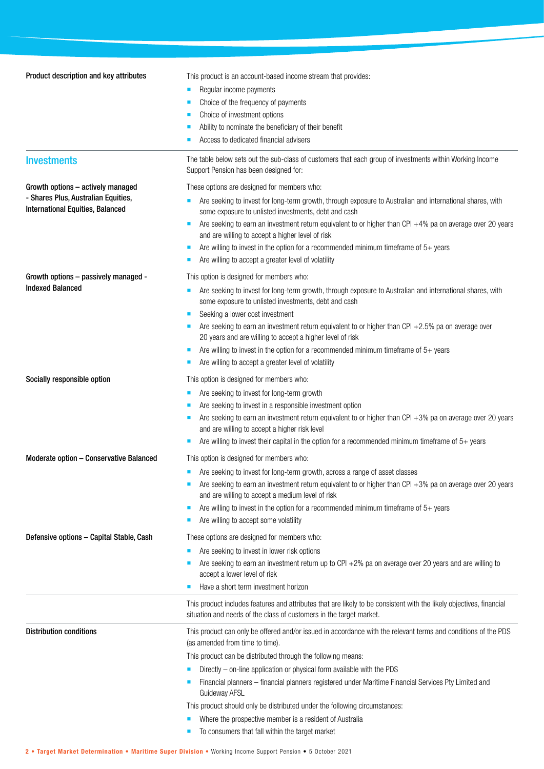| Product description and key attributes                                         | This product is an account-based income stream that provides:                                                                                                                               |  |  |
|--------------------------------------------------------------------------------|---------------------------------------------------------------------------------------------------------------------------------------------------------------------------------------------|--|--|
|                                                                                | Regular income payments<br>п<br>Choice of the frequency of payments                                                                                                                         |  |  |
|                                                                                |                                                                                                                                                                                             |  |  |
|                                                                                | Choice of investment options                                                                                                                                                                |  |  |
|                                                                                | Ability to nominate the beneficiary of their benefit                                                                                                                                        |  |  |
|                                                                                | Access to dedicated financial advisers                                                                                                                                                      |  |  |
| <b>Investments</b>                                                             | The table below sets out the sub-class of customers that each group of investments within Working Income<br>Support Pension has been designed for:                                          |  |  |
| Growth options - actively managed                                              | These options are designed for members who:                                                                                                                                                 |  |  |
| - Shares Plus, Australian Equities,<br><b>International Equities, Balanced</b> | Are seeking to invest for long-term growth, through exposure to Australian and international shares, with<br>some exposure to unlisted investments, debt and cash                           |  |  |
|                                                                                | Are seeking to earn an investment return equivalent to or higher than CPI $+4\%$ pa on average over 20 years<br>and are willing to accept a higher level of risk                            |  |  |
|                                                                                | Are willing to invest in the option for a recommended minimum timeframe of 5+ years<br>п                                                                                                    |  |  |
|                                                                                | Are willing to accept a greater level of volatility                                                                                                                                         |  |  |
| Growth options - passively managed -                                           | This option is designed for members who:                                                                                                                                                    |  |  |
| <b>Indexed Balanced</b>                                                        | Are seeking to invest for long-term growth, through exposure to Australian and international shares, with<br>ш                                                                              |  |  |
|                                                                                | some exposure to unlisted investments, debt and cash                                                                                                                                        |  |  |
|                                                                                | Seeking a lower cost investment<br>П                                                                                                                                                        |  |  |
|                                                                                | Are seeking to earn an investment return equivalent to or higher than CPI $+2.5%$ pa on average over<br>20 years and are willing to accept a higher level of risk                           |  |  |
|                                                                                | Are willing to invest in the option for a recommended minimum timeframe of $5+$ years                                                                                                       |  |  |
|                                                                                | Are willing to accept a greater level of volatility                                                                                                                                         |  |  |
| Socially responsible option                                                    | This option is designed for members who:                                                                                                                                                    |  |  |
|                                                                                | Are seeking to invest for long-term growth                                                                                                                                                  |  |  |
|                                                                                | Are seeking to invest in a responsible investment option                                                                                                                                    |  |  |
|                                                                                | Are seeking to earn an investment return equivalent to or higher than CPI $+3%$ pa on average over 20 years<br>ш                                                                            |  |  |
|                                                                                | and are willing to accept a higher risk level<br>Are willing to invest their capital in the option for a recommended minimum timeframe of $5+$ years                                        |  |  |
|                                                                                |                                                                                                                                                                                             |  |  |
| Moderate option - Conservative Balanced                                        | This option is designed for members who:                                                                                                                                                    |  |  |
|                                                                                | Are seeking to invest for long-term growth, across a range of asset classes                                                                                                                 |  |  |
|                                                                                | Are seeking to earn an investment return equivalent to or higher than CPI +3% pa on average over 20 years<br>and are willing to accept a medium level of risk                               |  |  |
|                                                                                | Are willing to invest in the option for a recommended minimum timeframe of $5+$ years                                                                                                       |  |  |
|                                                                                | Are willing to accept some volatility                                                                                                                                                       |  |  |
| Defensive options - Capital Stable, Cash                                       | These options are designed for members who:                                                                                                                                                 |  |  |
|                                                                                | Are seeking to invest in lower risk options<br>п                                                                                                                                            |  |  |
|                                                                                | Are seeking to earn an investment return up to CPI $+2\%$ pa on average over 20 years and are willing to                                                                                    |  |  |
|                                                                                | accept a lower level of risk                                                                                                                                                                |  |  |
|                                                                                | Have a short term investment horizon                                                                                                                                                        |  |  |
|                                                                                | This product includes features and attributes that are likely to be consistent with the likely objectives, financial<br>situation and needs of the class of customers in the target market. |  |  |
| <b>Distribution conditions</b>                                                 | This product can only be offered and/or issued in accordance with the relevant terms and conditions of the PDS<br>(as amended from time to time).                                           |  |  |
|                                                                                | This product can be distributed through the following means:                                                                                                                                |  |  |
|                                                                                | Directly - on-line application or physical form available with the PDS                                                                                                                      |  |  |
|                                                                                | Financial planners – financial planners registered under Maritime Financial Services Pty Limited and<br>Guideway AFSL                                                                       |  |  |
|                                                                                | This product should only be distributed under the following circumstances:                                                                                                                  |  |  |
|                                                                                | Where the prospective member is a resident of Australia<br>ш<br>To consumers that fall within the target market                                                                             |  |  |